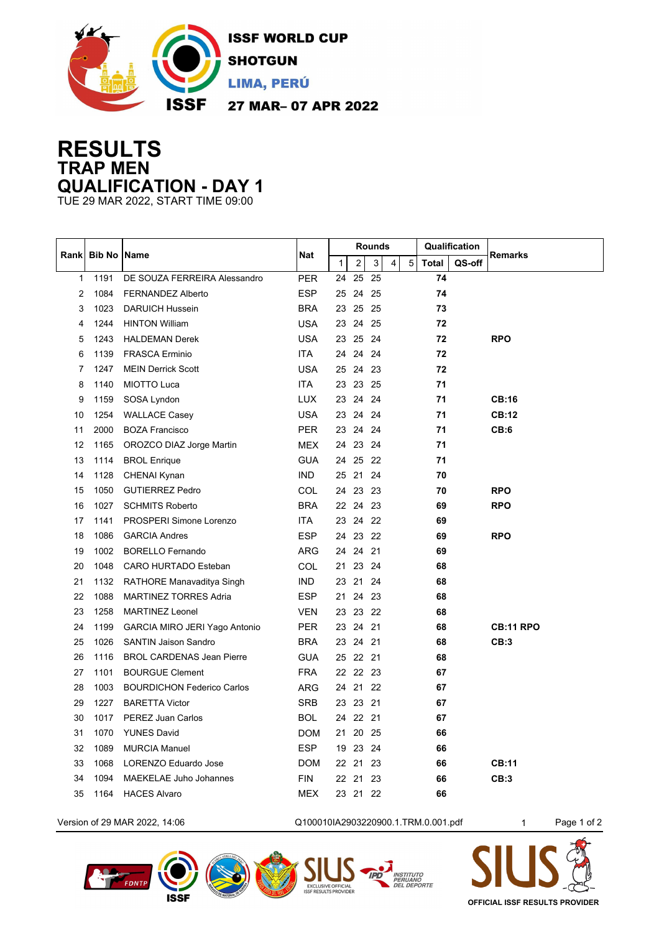

## **RESULTS TRAP MEN QUALIFICATION - DAY 1**

TUE 29 MAR 2022, START TIME 09:00

| <b>Bib No Name</b><br>Nat<br><b>Remarks</b><br>Rank<br>$\mathbf{1}$<br>$\overline{2}$<br>$\mathbf{3}$<br><b>Total</b><br>QS-off<br>$\overline{4}$<br>5<br>1191<br><b>PER</b><br>25<br>25<br>74<br>DE SOUZA FERREIRA Alessandro<br>24<br>1<br>1084<br><b>ESP</b><br>74<br>2<br><b>FERNANDEZ Alberto</b><br>24 25<br>25<br>1023<br><b>BRA</b><br>25 25<br>73<br>3<br><b>DARUICH Hussein</b><br>23<br>1244<br><b>HINTON William</b><br><b>USA</b><br>4<br>23<br>24 25<br>72 |  |
|--------------------------------------------------------------------------------------------------------------------------------------------------------------------------------------------------------------------------------------------------------------------------------------------------------------------------------------------------------------------------------------------------------------------------------------------------------------------------|--|
|                                                                                                                                                                                                                                                                                                                                                                                                                                                                          |  |
|                                                                                                                                                                                                                                                                                                                                                                                                                                                                          |  |
|                                                                                                                                                                                                                                                                                                                                                                                                                                                                          |  |
|                                                                                                                                                                                                                                                                                                                                                                                                                                                                          |  |
|                                                                                                                                                                                                                                                                                                                                                                                                                                                                          |  |
| <b>USA</b><br><b>RPO</b><br>1243<br>25 24<br>72<br><b>HALDEMAN Derek</b><br>23<br>5                                                                                                                                                                                                                                                                                                                                                                                      |  |
| 1139<br><b>FRASCA Erminio</b><br>ITA<br>24 24 24<br>72<br>6                                                                                                                                                                                                                                                                                                                                                                                                              |  |
| <b>USA</b><br>1247<br><b>MEIN Derrick Scott</b><br>25 24 23<br>72<br>7                                                                                                                                                                                                                                                                                                                                                                                                   |  |
| 1140<br><b>MIOTTO Luca</b><br>ITA<br>23 25<br>71<br>8<br>23                                                                                                                                                                                                                                                                                                                                                                                                              |  |
| <b>LUX</b><br>1159<br>23 24 24<br>71<br>SOSA Lyndon<br><b>CB:16</b><br>9                                                                                                                                                                                                                                                                                                                                                                                                 |  |
| <b>CB:12</b><br>1254<br><b>USA</b><br>23 24 24<br>71<br><b>WALLACE Casey</b><br>10                                                                                                                                                                                                                                                                                                                                                                                       |  |
| 2000<br><b>PER</b><br>24 24<br>CB:6<br>11<br><b>BOZA Francisco</b><br>23<br>71                                                                                                                                                                                                                                                                                                                                                                                           |  |
| 12<br>1165<br>OROZCO DIAZ Jorge Martin<br><b>MEX</b><br>24 23 24<br>71                                                                                                                                                                                                                                                                                                                                                                                                   |  |
| <b>GUA</b><br>24 25 22<br>71<br>13<br>1114<br><b>BROL Enrique</b>                                                                                                                                                                                                                                                                                                                                                                                                        |  |
| <b>IND</b><br>25 21 24<br>70<br>1128<br><b>CHENAI Kynan</b><br>14                                                                                                                                                                                                                                                                                                                                                                                                        |  |
| <b>COL</b><br>24 23 23<br><b>RPO</b><br>1050<br><b>GUTIERREZ Pedro</b><br>70<br>15                                                                                                                                                                                                                                                                                                                                                                                       |  |
| 22 24 23<br><b>RPO</b><br>1027<br><b>BRA</b><br>69<br>16<br><b>SCHMITS Roberto</b>                                                                                                                                                                                                                                                                                                                                                                                       |  |
| ITA<br>23 24 22<br>17<br>1141<br>PROSPERI Simone Lorenzo<br>69                                                                                                                                                                                                                                                                                                                                                                                                           |  |
| <b>ESP</b><br>24 23 22<br>1086<br><b>GARCIA Andres</b><br>69<br><b>RPO</b><br>18                                                                                                                                                                                                                                                                                                                                                                                         |  |
| <b>ARG</b><br>24 24 21<br>1002<br><b>BORELLO Fernando</b><br>69<br>19                                                                                                                                                                                                                                                                                                                                                                                                    |  |
| <b>COL</b><br>23 24<br>20<br>1048<br>CARO HURTADO Esteban<br>21<br>68                                                                                                                                                                                                                                                                                                                                                                                                    |  |
| <b>IND</b><br>21 24<br>21<br>1132<br>RATHORE Manavaditya Singh<br>23<br>68                                                                                                                                                                                                                                                                                                                                                                                               |  |
| 24 23<br>22<br>1088<br><b>ESP</b><br>21<br>68<br><b>MARTINEZ TORRES Adria</b>                                                                                                                                                                                                                                                                                                                                                                                            |  |
| 23<br>1258<br><b>VEN</b><br>23 22<br>68<br><b>MARTINEZ Leonel</b><br>23                                                                                                                                                                                                                                                                                                                                                                                                  |  |
| 21<br>24<br>1199<br><b>PER</b><br>23<br>24<br>68<br><b>CB:11 RPO</b><br>GARCIA MIRO JERI Yago Antonio                                                                                                                                                                                                                                                                                                                                                                    |  |
| 24 21<br>CB:3<br>25<br>1026<br><b>BRA</b><br>23<br>68<br><b>SANTIN Jaison Sandro</b>                                                                                                                                                                                                                                                                                                                                                                                     |  |
| 25 22 21<br>26<br>1116<br><b>BROL CARDENAS Jean Pierre</b><br><b>GUA</b><br>68                                                                                                                                                                                                                                                                                                                                                                                           |  |
| <b>FRA</b><br>22 23<br>27<br>1101<br><b>BOURGUE Clement</b><br>22<br>67                                                                                                                                                                                                                                                                                                                                                                                                  |  |
| 1003<br>21 22<br>67<br>28<br><b>BOURDICHON Federico Carlos</b><br>ARG<br>24                                                                                                                                                                                                                                                                                                                                                                                              |  |
| 1227<br><b>SRB</b><br>23 21<br>29<br><b>BARETTA Victor</b><br>23<br>67                                                                                                                                                                                                                                                                                                                                                                                                   |  |
| 22 21<br>1017<br>PEREZ Juan Carlos<br><b>BOL</b><br>67<br>30<br>24                                                                                                                                                                                                                                                                                                                                                                                                       |  |
| 1070<br><b>DOM</b><br>20 25<br>66<br>31<br><b>YUNES David</b><br>21                                                                                                                                                                                                                                                                                                                                                                                                      |  |
| 23 24<br>32<br>1089<br><b>MURCIA Manuel</b><br><b>ESP</b><br>19<br>66                                                                                                                                                                                                                                                                                                                                                                                                    |  |
| 1068<br>LORENZO Eduardo Jose<br><b>DOM</b><br>22 21 23<br>66<br><b>CB:11</b><br>33                                                                                                                                                                                                                                                                                                                                                                                       |  |
| 22 21<br><b>FIN</b><br>23<br>CB:3<br>34<br>1094<br><b>MAEKELAE Juho Johannes</b><br>66                                                                                                                                                                                                                                                                                                                                                                                   |  |
| <b>MEX</b><br>23 21 22<br>1164<br><b>HACES Alvaro</b><br>66<br>35                                                                                                                                                                                                                                                                                                                                                                                                        |  |



**ISSF** 

**OFFICIAL ISSF RESULTS PROVIDER**